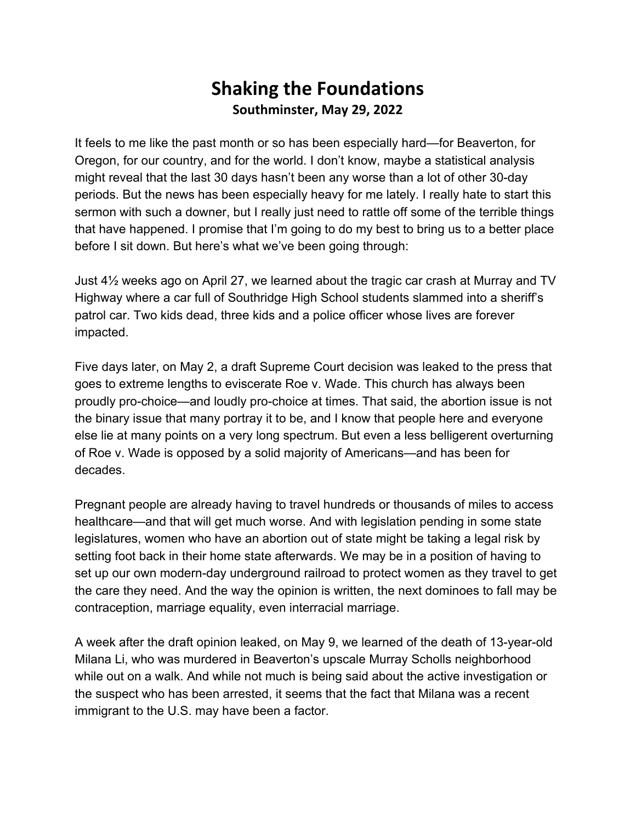## **Shaking the Foundations Southminster, May 29, 2022**

It feels to me like the past month or so has been especially hard—for Beaverton, for Oregon, for our country, and for the world. I don't know, maybe a statistical analysis might reveal that the last 30 days hasn't been any worse than a lot of other 30-day periods. But the news has been especially heavy for me lately. I really hate to start this sermon with such a downer, but I really just need to rattle off some of the terrible things that have happened. I promise that I'm going to do my best to bring us to a better place before I sit down. But here's what we've been going through:

Just 4½ weeks ago on April 27, we learned about the tragic car crash at Murray and TV Highway where a car full of Southridge High School students slammed into a sheriff's patrol car. Two kids dead, three kids and a police officer whose lives are forever impacted.

Five days later, on May 2, a draft Supreme Court decision was leaked to the press that goes to extreme lengths to eviscerate Roe v. Wade. This church has always been proudly pro-choice—and loudly pro-choice at times. That said, the abortion issue is not the binary issue that many portray it to be, and I know that people here and everyone else lie at many points on a very long spectrum. But even a less belligerent overturning of Roe v. Wade is opposed by a solid majority of Americans—and has been for decades.

Pregnant people are already having to travel hundreds or thousands of miles to access healthcare—and that will get much worse. And with legislation pending in some state legislatures, women who have an abortion out of state might be taking a legal risk by setting foot back in their home state afterwards. We may be in a position of having to set up our own modern-day underground railroad to protect women as they travel to get the care they need. And the way the opinion is written, the next dominoes to fall may be contraception, marriage equality, even interracial marriage.

A week after the draft opinion leaked, on May 9, we learned of the death of 13-year-old Milana Li, who was murdered in Beaverton's upscale Murray Scholls neighborhood while out on a walk. And while not much is being said about the active investigation or the suspect who has been arrested, it seems that the fact that Milana was a recent immigrant to the U.S. may have been a factor.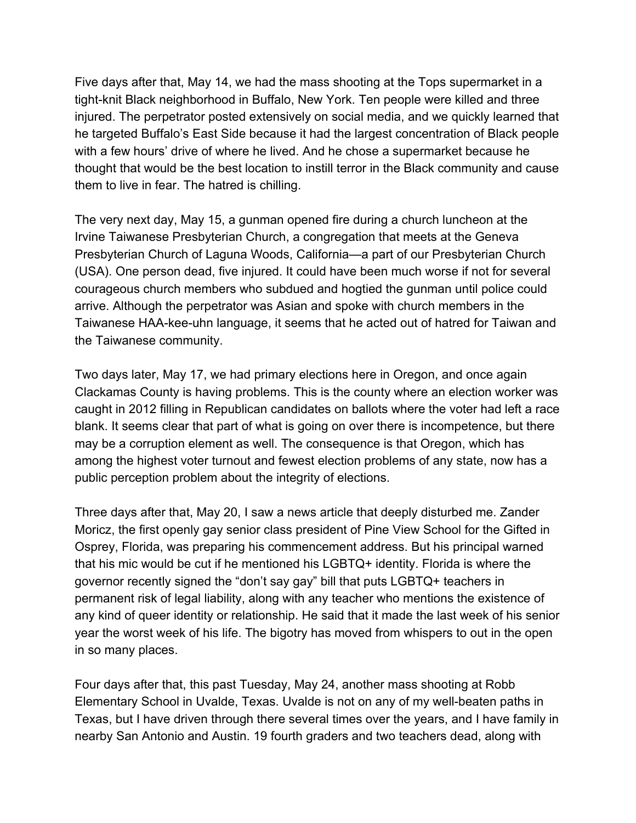Five days after that, May 14, we had the mass shooting at the Tops supermarket in a tight-knit Black neighborhood in Buffalo, New York. Ten people were killed and three injured. The perpetrator posted extensively on social media, and we quickly learned that he targeted Buffalo's East Side because it had the largest concentration of Black people with a few hours' drive of where he lived. And he chose a supermarket because he thought that would be the best location to instill terror in the Black community and cause them to live in fear. The hatred is chilling.

The very next day, May 15, a gunman opened fire during a church luncheon at the Irvine Taiwanese Presbyterian Church, a congregation that meets at the Geneva Presbyterian Church of Laguna Woods, California—a part of our Presbyterian Church (USA). One person dead, five injured. It could have been much worse if not for several courageous church members who subdued and hogtied the gunman until police could arrive. Although the perpetrator was Asian and spoke with church members in the Taiwanese HAA-kee-uhn language, it seems that he acted out of hatred for Taiwan and the Taiwanese community.

Two days later, May 17, we had primary elections here in Oregon, and once again Clackamas County is having problems. This is the county where an election worker was caught in 2012 filling in Republican candidates on ballots where the voter had left a race blank. It seems clear that part of what is going on over there is incompetence, but there may be a corruption element as well. The consequence is that Oregon, which has among the highest voter turnout and fewest election problems of any state, now has a public perception problem about the integrity of elections.

Three days after that, May 20, I saw a news article that deeply disturbed me. Zander Moricz, the first openly gay senior class president of Pine View School for the Gifted in Osprey, Florida, was preparing his commencement address. But his principal warned that his mic would be cut if he mentioned his LGBTQ+ identity. Florida is where the governor recently signed the "don't say gay" bill that puts LGBTQ+ teachers in permanent risk of legal liability, along with any teacher who mentions the existence of any kind of queer identity or relationship. He said that it made the last week of his senior year the worst week of his life. The bigotry has moved from whispers to out in the open in so many places.

Four days after that, this past Tuesday, May 24, another mass shooting at Robb Elementary School in Uvalde, Texas. Uvalde is not on any of my well-beaten paths in Texas, but I have driven through there several times over the years, and I have family in nearby San Antonio and Austin. 19 fourth graders and two teachers dead, along with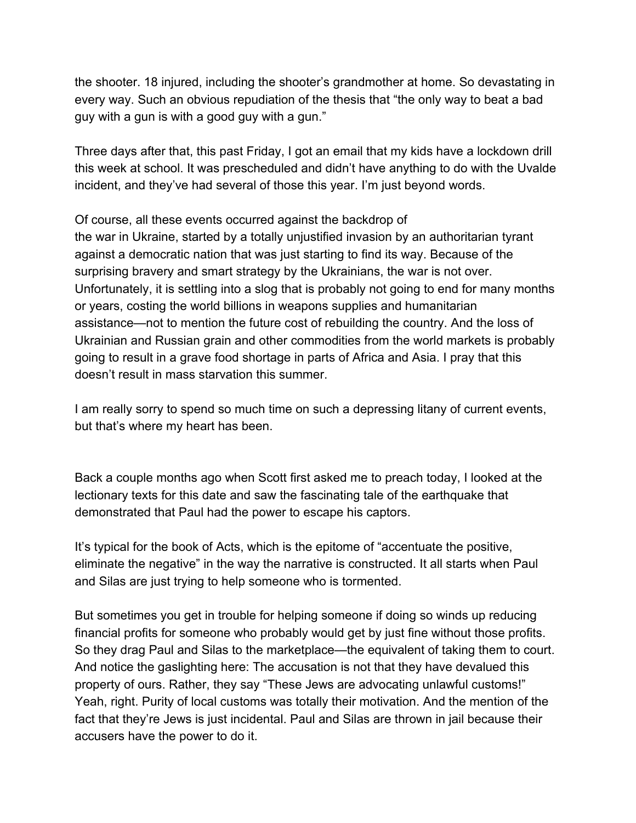the shooter. 18 injured, including the shooter's grandmother at home. So devastating in every way. Such an obvious repudiation of the thesis that "the only way to beat a bad guy with a gun is with a good guy with a gun."

Three days after that, this past Friday, I got an email that my kids have a lockdown drill this week at school. It was prescheduled and didn't have anything to do with the Uvalde incident, and they've had several of those this year. I'm just beyond words.

Of course, all these events occurred against the backdrop of the war in Ukraine, started by a totally unjustified invasion by an authoritarian tyrant against a democratic nation that was just starting to find its way. Because of the surprising bravery and smart strategy by the Ukrainians, the war is not over. Unfortunately, it is settling into a slog that is probably not going to end for many months or years, costing the world billions in weapons supplies and humanitarian assistance—not to mention the future cost of rebuilding the country. And the loss of Ukrainian and Russian grain and other commodities from the world markets is probably going to result in a grave food shortage in parts of Africa and Asia. I pray that this doesn't result in mass starvation this summer.

I am really sorry to spend so much time on such a depressing litany of current events, but that's where my heart has been.

Back a couple months ago when Scott first asked me to preach today, I looked at the lectionary texts for this date and saw the fascinating tale of the earthquake that demonstrated that Paul had the power to escape his captors.

It's typical for the book of Acts, which is the epitome of "accentuate the positive, eliminate the negative" in the way the narrative is constructed. It all starts when Paul and Silas are just trying to help someone who is tormented.

But sometimes you get in trouble for helping someone if doing so winds up reducing financial profits for someone who probably would get by just fine without those profits. So they drag Paul and Silas to the marketplace—the equivalent of taking them to court. And notice the gaslighting here: The accusation is not that they have devalued this property of ours. Rather, they say "These Jews are advocating unlawful customs!" Yeah, right. Purity of local customs was totally their motivation. And the mention of the fact that they're Jews is just incidental. Paul and Silas are thrown in jail because their accusers have the power to do it.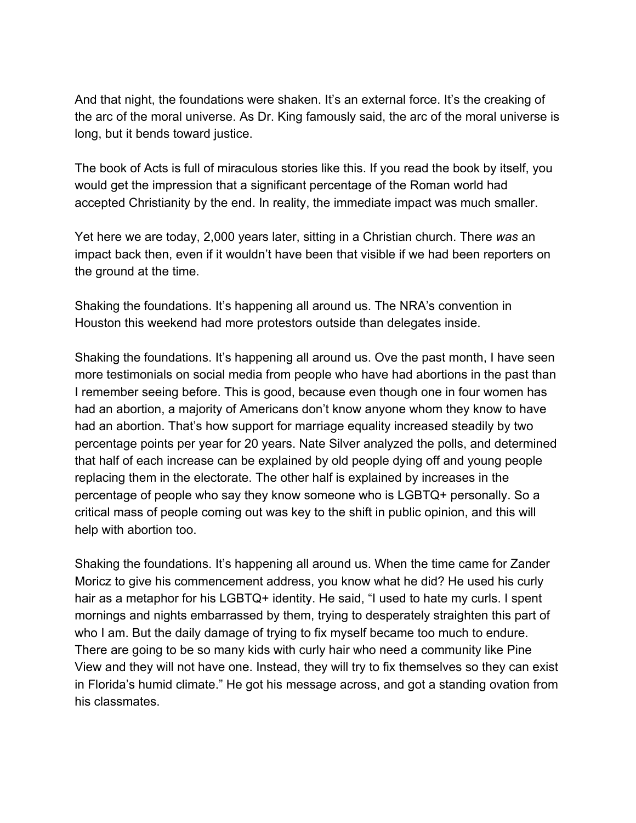And that night, the foundations were shaken. It's an external force. It's the creaking of the arc of the moral universe. As Dr. King famously said, the arc of the moral universe is long, but it bends toward justice.

The book of Acts is full of miraculous stories like this. If you read the book by itself, you would get the impression that a significant percentage of the Roman world had accepted Christianity by the end. In reality, the immediate impact was much smaller.

Yet here we are today, 2,000 years later, sitting in a Christian church. There *was* an impact back then, even if it wouldn't have been that visible if we had been reporters on the ground at the time.

Shaking the foundations. It's happening all around us. The NRA's convention in Houston this weekend had more protestors outside than delegates inside.

Shaking the foundations. It's happening all around us. Ove the past month, I have seen more testimonials on social media from people who have had abortions in the past than I remember seeing before. This is good, because even though one in four women has had an abortion, a majority of Americans don't know anyone whom they know to have had an abortion. That's how support for marriage equality increased steadily by two percentage points per year for 20 years. Nate Silver analyzed the polls, and determined that half of each increase can be explained by old people dying off and young people replacing them in the electorate. The other half is explained by increases in the percentage of people who say they know someone who is LGBTQ+ personally. So a critical mass of people coming out was key to the shift in public opinion, and this will help with abortion too.

Shaking the foundations. It's happening all around us. When the time came for Zander Moricz to give his commencement address, you know what he did? He used his curly hair as a metaphor for his LGBTQ+ identity. He said, "I used to hate my curls. I spent mornings and nights embarrassed by them, trying to desperately straighten this part of who I am. But the daily damage of trying to fix myself became too much to endure. There are going to be so many kids with curly hair who need a community like Pine View and they will not have one. Instead, they will try to fix themselves so they can exist in Florida's humid climate." He got his message across, and got a standing ovation from his classmates.